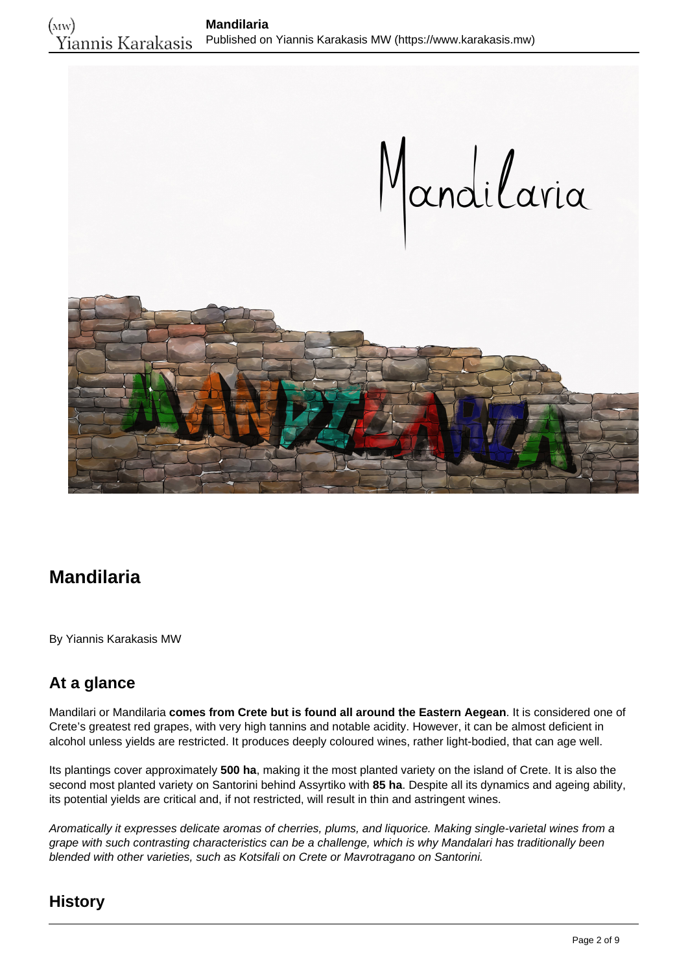

# **Mandilaria**

By Yiannis Karakasis MW

# **At a glance**

Mandilari or Mandilaria **comes from Crete but is found all around the Eastern Aegean**. It is considered one of Crete's greatest red grapes, with very high tannins and notable acidity. However, it can be almost deficient in alcohol unless yields are restricted. It produces deeply coloured wines, rather light-bodied, that can age well.

Its plantings cover approximately **500 ha**, making it the most planted variety on the island of Crete. It is also the second most planted variety on Santorini behind Assyrtiko with **85 ha**. Despite all its dynamics and ageing ability, its potential yields are critical and, if not restricted, will result in thin and astringent wines.

Aromatically it expresses delicate aromas of cherries, plums, and liquorice. Making single-varietal wines from a grape with such contrasting characteristics can be a challenge, which is why Mandalari has traditionally been blended with other varieties, such as Kotsifali on Crete or Mavrotragano on Santorini.

## **History**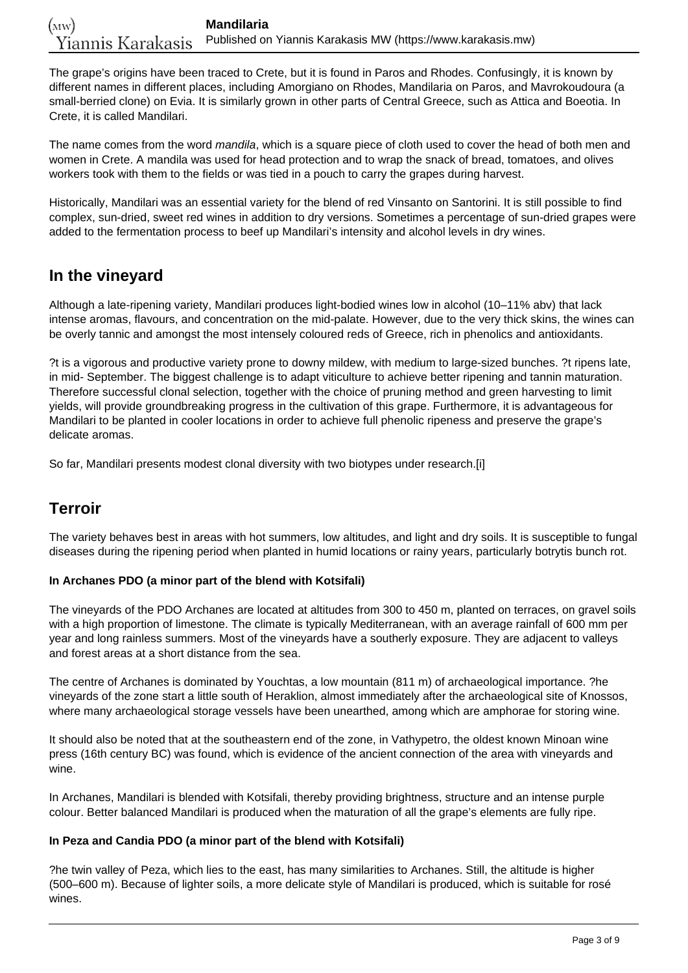The grape's origins have been traced to Crete, but it is found in Paros and Rhodes. Confusingly, it is known by different names in different places, including Amorgiano on Rhodes, Mandilaria on Paros, and Mavrokoudoura (a small-berried clone) on Evia. It is similarly grown in other parts of Central Greece, such as Attica and Boeotia. In Crete, it is called Mandilari.

The name comes from the word mandila, which is a square piece of cloth used to cover the head of both men and women in Crete. A mandila was used for head protection and to wrap the snack of bread, tomatoes, and olives workers took with them to the fields or was tied in a pouch to carry the grapes during harvest.

Historically, Mandilari was an essential variety for the blend of red Vinsanto on Santorini. It is still possible to find complex, sun-dried, sweet red wines in addition to dry versions. Sometimes a percentage of sun-dried grapes were added to the fermentation process to beef up Mandilari's intensity and alcohol levels in dry wines.

## **In the vineyard**

Although a late-ripening variety, Mandilari produces light-bodied wines low in alcohol (10–11% abv) that lack intense aromas, flavours, and concentration on the mid-palate. However, due to the very thick skins, the wines can be overly tannic and amongst the most intensely coloured reds of Greece, rich in phenolics and antioxidants.

?t is a vigorous and productive variety prone to downy mildew, with medium to large-sized bunches. ?t ripens late, in mid- September. The biggest challenge is to adapt viticulture to achieve better ripening and tannin maturation. Therefore successful clonal selection, together with the choice of pruning method and green harvesting to limit yields, will provide groundbreaking progress in the cultivation of this grape. Furthermore, it is advantageous for Mandilari to be planted in cooler locations in order to achieve full phenolic ripeness and preserve the grape's delicate aromas.

So far, Mandilari presents modest clonal diversity with two biotypes under research.[i]

## **Terroir**

The variety behaves best in areas with hot summers, low altitudes, and light and dry soils. It is susceptible to fungal diseases during the ripening period when planted in humid locations or rainy years, particularly botrytis bunch rot.

### **In Archanes PDO (a minor part of the blend with Kotsifali)**

The vineyards of the PDO Archanes are located at altitudes from 300 to 450 m, planted on terraces, on gravel soils with a high proportion of limestone. The climate is typically Mediterranean, with an average rainfall of 600 mm per year and long rainless summers. Most of the vineyards have a southerly exposure. They are adjacent to valleys and forest areas at a short distance from the sea.

The centre of Archanes is dominated by Youchtas, a low mountain (811 m) of archaeological importance. ?he vineyards of the zone start a little south of Heraklion, almost immediately after the archaeological site of Knossos, where many archaeological storage vessels have been unearthed, among which are amphorae for storing wine.

It should also be noted that at the southeastern end of the zone, in Vathypetro, the oldest known Minoan wine press (16th century BC) was found, which is evidence of the ancient connection of the area with vineyards and wine.

In Archanes, Mandilari is blended with Kotsifali, thereby providing brightness, structure and an intense purple colour. Better balanced Mandilari is produced when the maturation of all the grape's elements are fully ripe.

#### **In Peza and Candia PDO (a minor part of the blend with Kotsifali)**

?he twin valley of Peza, which lies to the east, has many similarities to Archanes. Still, the altitude is higher (500–600 m). Because of lighter soils, a more delicate style of Mandilari is produced, which is suitable for rosé wines.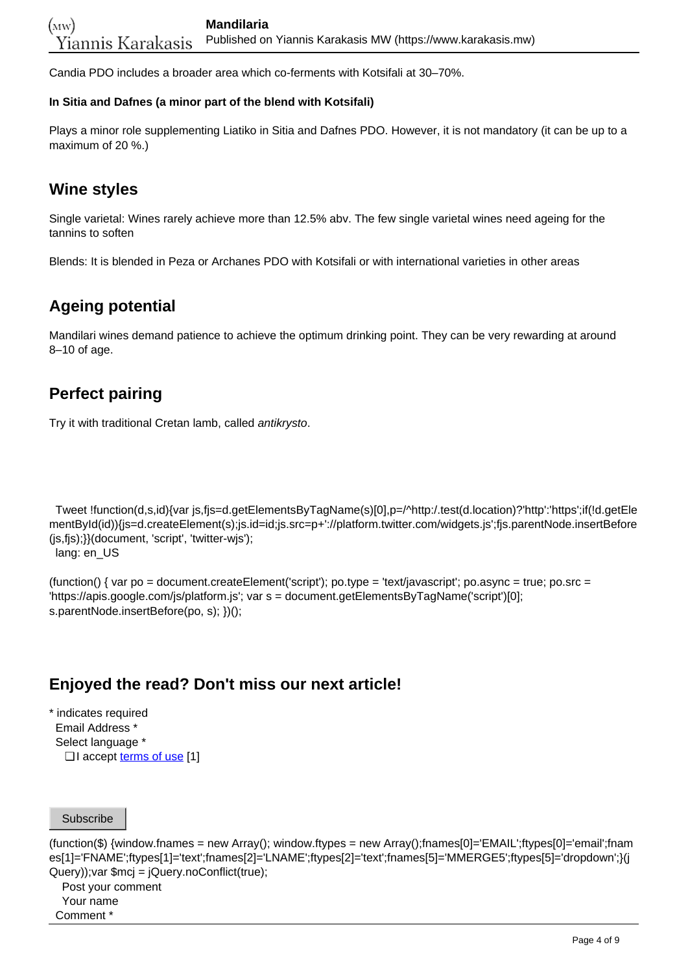Candia PDO includes a broader area which co-ferments with Kotsifali at 30–70%.

#### **In Sitia and Dafnes (a minor part of the blend with Kotsifali)**

Plays a minor role supplementing Liatiko in Sitia and Dafnes PDO. However, it is not mandatory (it can be up to a maximum of 20 %.)

## **Wine styles**

Single varietal: Wines rarely achieve more than 12.5% abv. The few single varietal wines need ageing for the tannins to soften

Blends: It is blended in Peza or Archanes PDO with Kotsifali or with international varieties in other areas

## **Ageing potential**

Mandilari wines demand patience to achieve the optimum drinking point. They can be very rewarding at around 8–10 of age.

## **Perfect pairing**

Try it with traditional Cretan lamb, called antikrysto.

 Tweet !function(d,s,id){var js,fjs=d.getElementsByTagName(s)[0],p=/^http:/.test(d.location)?'http':'https';if(!d.getEle mentById(id)){js=d.createElement(s);js.id=id;js.src=p+'://platform.twitter.com/widgets.js';fjs.parentNode.insertBefore (js,fjs);}}(document, 'script', 'twitter-wjs');

lang: en\_US

(function() { var po = document.createElement('script'); po.type = 'text/javascript'; po.async = true; po.src = 'https://apis.google.com/js/platform.js'; var s = document.getElementsByTagName('script')[0]; s.parentNode.insertBefore(po, s); })();

## **Enjoyed the read? Don't miss our next article!**

\* indicates required Email Address \* Select language \* □ I accept <u>[terms of use](https://www.karakasis.mw/policy)</u> [1]

Subscribe

(function(\$) {window.fnames = new Array(); window.ftypes = new Array();fnames[0]='EMAIL';ftypes[0]='email';fnam es[1]='FNAME';ftypes[1]='text';fnames[2]='LNAME';ftypes[2]='text';fnames[5]='MMERGE5';ftypes[5]='dropdown';}(j Query));var \$mcj = jQuery.noConflict(true);

Post your comment

 Your name Comment \*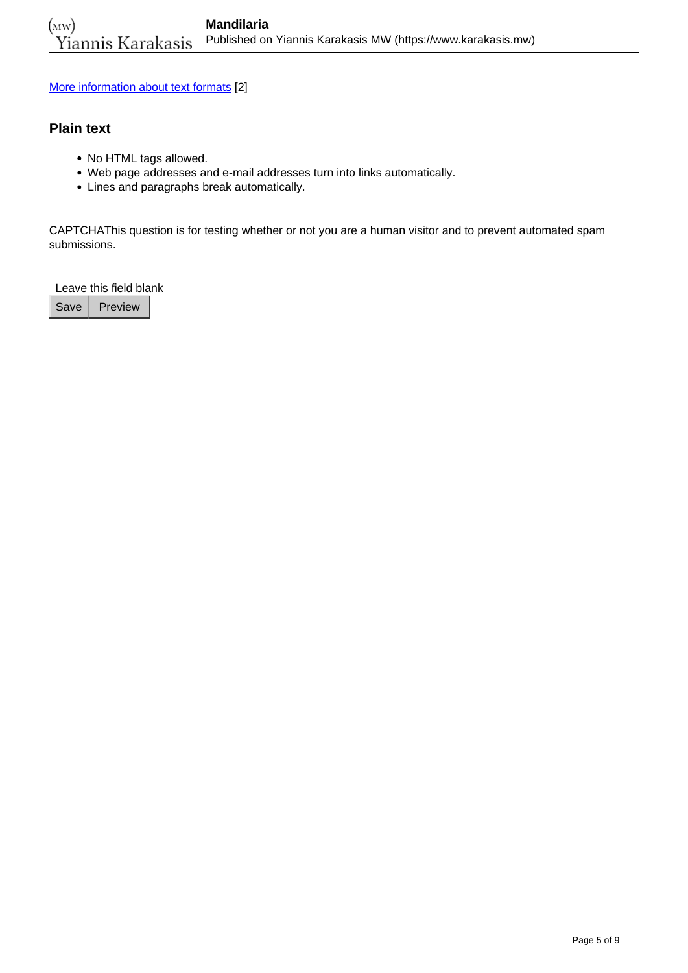[More information about text formats](https://www.karakasis.mw/filter/tips) [2]

### **Plain text**

- No HTML tags allowed.
- Web page addresses and e-mail addresses turn into links automatically.
- Lines and paragraphs break automatically.

CAPTCHAThis question is for testing whether or not you are a human visitor and to prevent automated spam submissions.

Leave this field blank

Save | Preview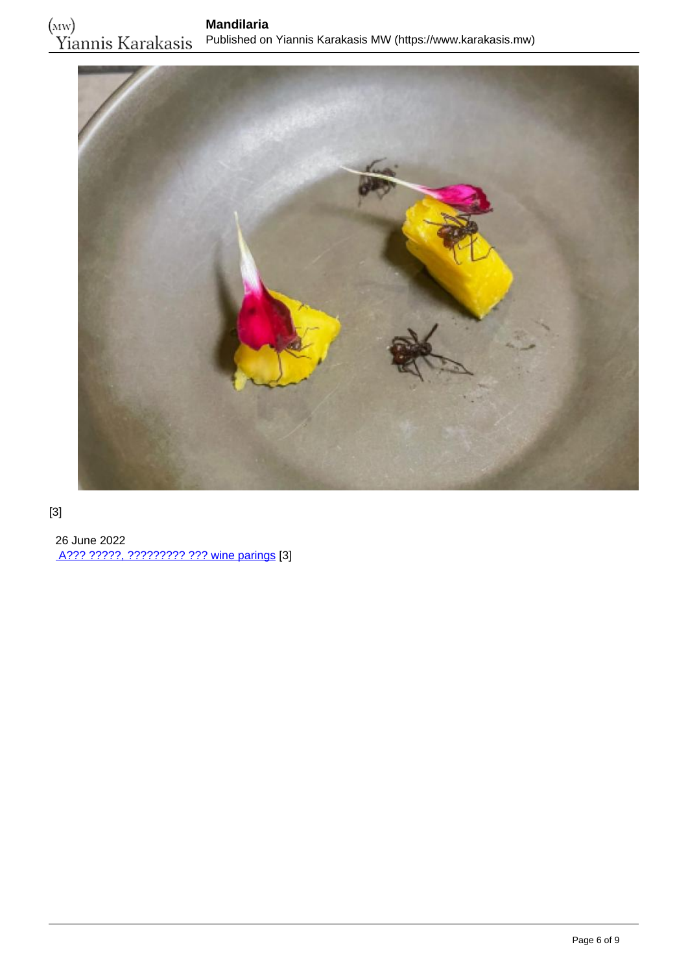

### [3]

 26 June 2022 [A??? ?????, ????????? ??? wine parings](https://www.karakasis.mw/alex-atala-myrmigkia-kai-wine-parings) [3]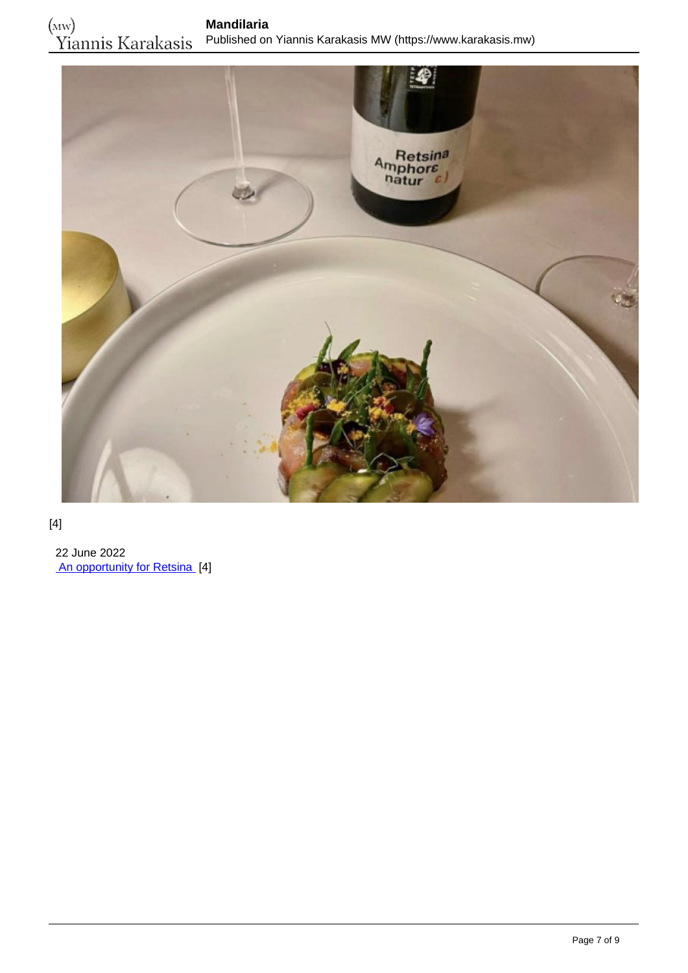

### [4]

 22 June 2022 [An opportunity for Retsina](https://www.karakasis.mw/opportunity-resinated-wine) [4]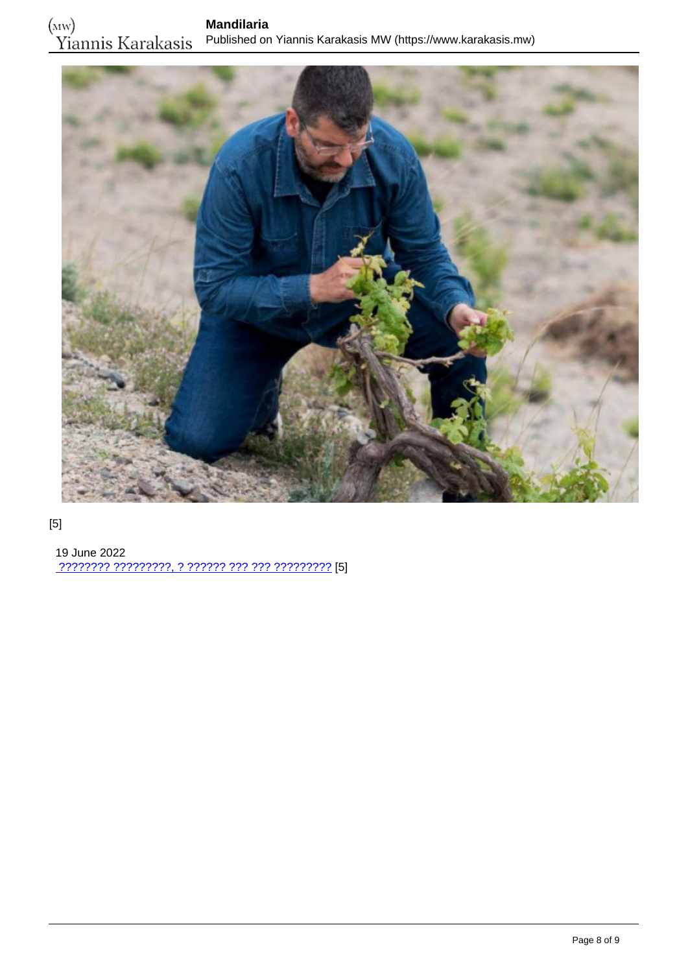

## [5]

 19 June 2022 [???????? ?????????, ? ?????? ??? ??? ?????????](https://www.karakasis.mw/anydroys) [5]